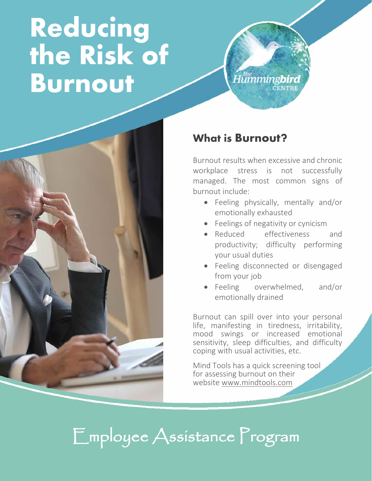# **Reducing the Risk of Burnout**





#### What is Burnout?

Burnout results when excessive and chronic workplace stress is not successfully managed. The most common signs of burnout include:

- Feeling physically, mentally and/or emotionally exhausted
- Feelings of negativity or cynicism
- Reduced effectiveness and productivity; difficulty performing your usual duties
- Feeling disconnected or disengaged from your job
- Feeling overwhelmed, and/or emotionally drained

Burnout can spill over into your personal life, manifesting in tiredness, irritability, mood swings or increased emotional sensitivity, sleep difficulties, and difficulty coping with usual activities, etc.

Mind Tools has a quick screening tool for assessing burnout on their website [www.mindtools.com](https://www.mindtools.com/pages/article/newTCS_08.htm)

### Employee Assistance Program

i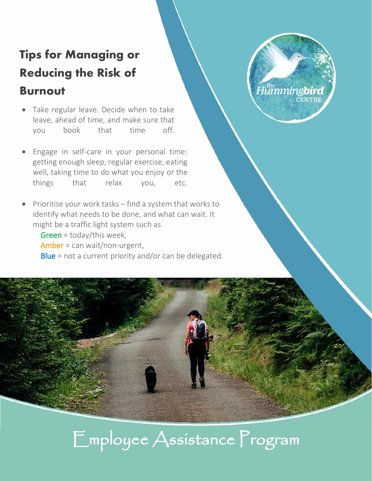### Tips for Managing or Reducing the Risk of

#### Burnout

- Take regular leave. Decide when to take leave, ahead of time, and make sure that you book that time off.
- Engage in self-care in your personal time: getting enough sleep, regular exercise, eating well, taking time to do what you enjoy or the things that relax you, etc.
- Prioritise your work tasks find a system that works to identify what needs to be done, and what can wait. It might be a traffic light system such as

 Green = today/this week, Amber = can wait/non-urgent, Blue = not a current priority and/or can be delegated.

## Employee Assistance Program

Humming**bird** 

**CENTRE**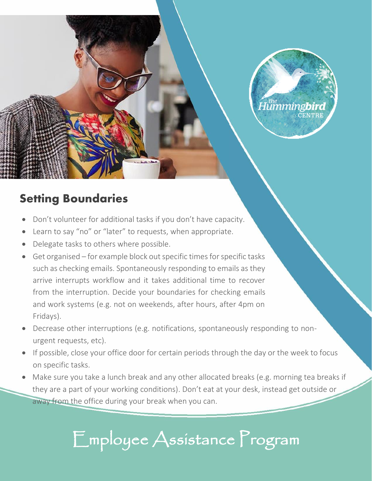

#### Setting Boundaries

- Don't volunteer for additional tasks if you don't have capacity.
- Learn to say "no" or "later" to requests, when appropriate.
- Delegate tasks to others where possible.
- Get organised for example block out specific times for specific tasks such as checking emails. Spontaneously responding to emails as they arrive interrupts workflow and it takes additional time to recover from the interruption. Decide your boundaries for checking emails and work systems (e.g. not on weekends, after hours, after 4pm on Fridays).
- Decrease other interruptions (e.g. notifications, spontaneously responding to nonurgent requests, etc).
- If possible, close your office door for certain periods through the day or the week to focus on specific tasks.
- Make sure you take a lunch break and any other allocated breaks (e.g. morning tea breaks if they are a part of your working conditions). Don't eat at your desk, instead get outside or away from the office during your break when you can.

### Employee Assistance Program